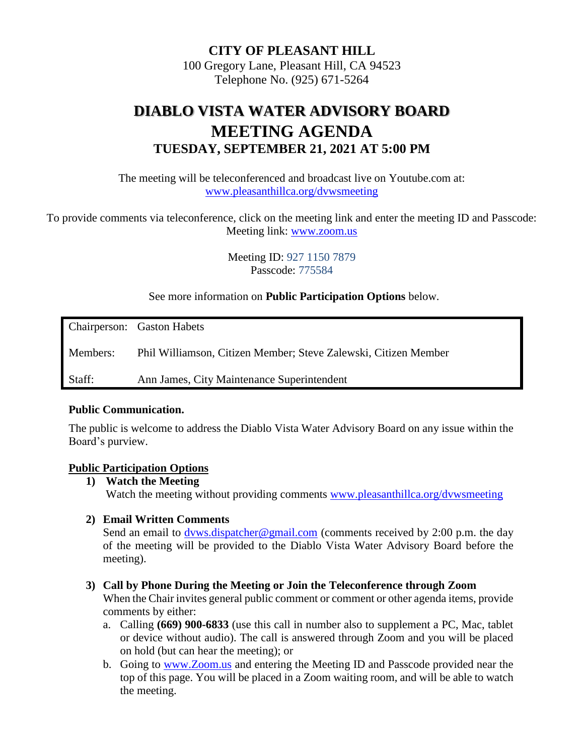**CITY OF PLEASANT HILL** 100 Gregory Lane, Pleasant Hill, CA 94523

Telephone No. (925) 671-5264

# **DIABLO VISTA WATER ADVISORY BOARD MEETING AGENDA TUESDAY, SEPTEMBER 21, 2021 AT 5:00 PM**

The meeting will be teleconferenced and broadcast live on Youtube.com at: [www.pleasanthillca.org/dvwsmeeting](http://www.pleasanthillca.org/dvwsmeeting)

To provide comments via teleconference, click on the meeting link and enter the meeting ID and Passcode: Meeting link: [www.zoom.us](http://www.zoom.us/)

> Meeting ID: 927 1150 7879 Passcode: 775584

See more information on **Public Participation Options** below.

Chairperson: Gaston Habets Members: Phil Williamson, Citizen Member; Steve Zalewski, Citizen Member Staff: Ann James, City Maintenance Superintendent

#### **Public Communication.**

The public is welcome to address the Diablo Vista Water Advisory Board on any issue within the Board's purview.

#### **Public Participation Options**

**1) Watch the Meeting**

Watch the meeting without providing comments [www.pleasanthillca.org/dvwsmeeting](http://www.pleasanthillca.org/dvwsmeeting)

#### **2) Email Written Comments**

Send an email to dyws.dispatcher@gmail.com (comments received by 2:00 p.m. the day of the meeting will be provided to the Diablo Vista Water Advisory Board before the meeting).

#### **3) Call by Phone During the Meeting or Join the Teleconference through Zoom**

When the Chair invites general public comment or comment or other agenda items, provide comments by either:

- a. Calling **(669) 900-6833** (use this call in number also to supplement a PC, Mac, tablet or device without audio). The call is answered through Zoom and you will be placed on hold (but can hear the meeting); or
- b. Going to [www.Zoom.us](http://www.zoom.us/) and entering the Meeting ID and Passcode provided near the top of this page. You will be placed in a Zoom waiting room, and will be able to watch the meeting.